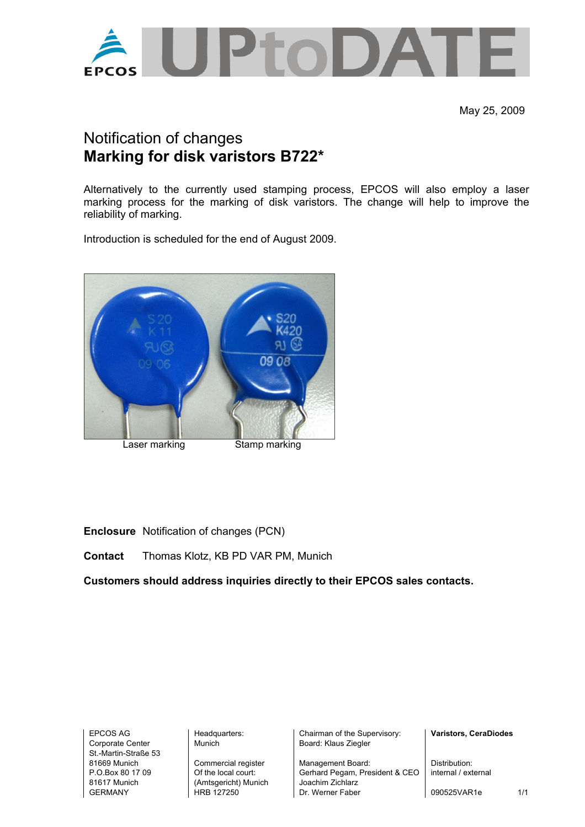

May 25, 2009

## Notification of changes **Marking for disk varistors B722\***

Alternatively to the currently used stamping process, EPCOS will also employ a laser marking process for the marking of disk varistors. The change will help to improve the reliability of marking.

Introduction is scheduled for the end of August 2009.



**Enclosure** Notification of changes (PCN)

**Contact** Thomas Klotz, KB PD VAR PM, Munich

**Customers should address inquiries directly to their EPCOS sales contacts.** 

St.-Martin-Straße 53

81617 Munich (Amtsgericht) Munich Joachim Zichlarz

EPCOS AG **Headquarters:** Chairman of the Supervisory: **Varistors, CeraDiodes Varistors, CeraDiodes** Corporate Center Munich Nunich Board: Klaus Ziegler

81669 Munich Commercial register Management Board: Distribution:<br>
P.O.Box 80 17 09 Of the local court: Gerhard Pegam. President & CEO internal / external Gerhard Pegam, President & CEO GERMANY HRB 127250 Dr. Werner Faber | 090525VAR1e 1/1